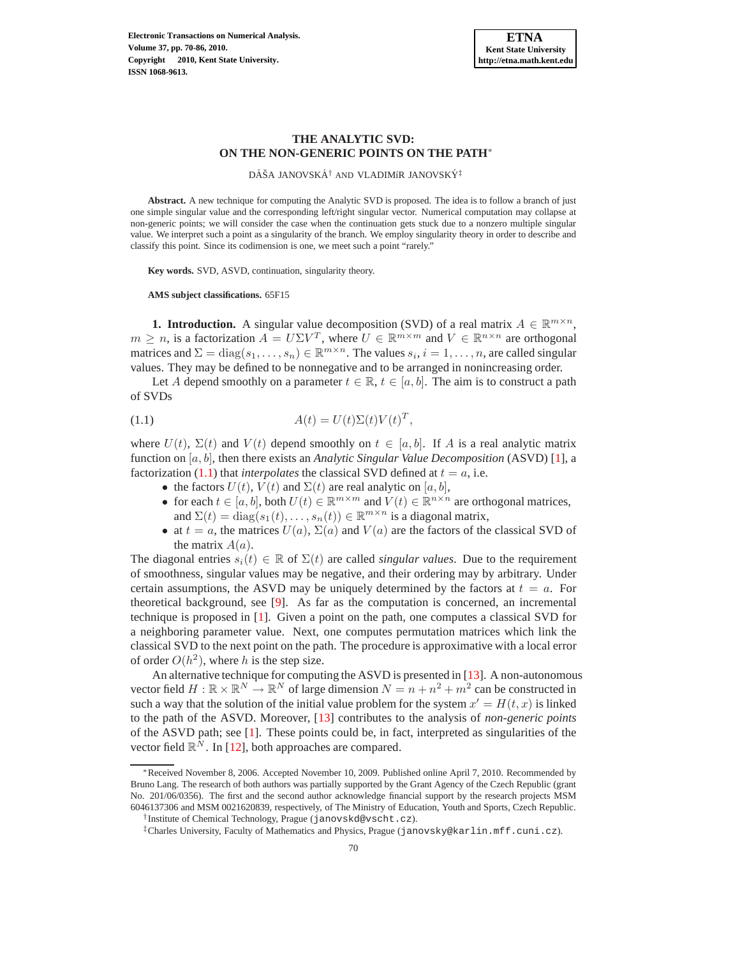# **THE ANALYTIC SVD: ON THE NON-GENERIC POINTS ON THE PATH**<sup>∗</sup>

DÁŠA JANOVSKÁ $^\dagger$  and VLADIMíR JANOVSKÝ $^\ddagger$ 

**Abstract.** A new technique for computing the Analytic SVD is proposed. The idea is to follow a branch of just one simple singular value and the corresponding left/right singular vector. Numerical computation may collapse at non-generic points; we will consider the case when the continuation gets stuck due to a nonzero multiple singular value. We interpret such a point as a singularity of the branch. We employ singularity theory in order to describe and classify this point. Since its codimension is one, we meet such a point "rarely."

**Key words.** SVD, ASVD, continuation, singularity theory.

#### **AMS subject classifications.** 65F15

<span id="page-0-1"></span>**1. Introduction.** A singular value decomposition (SVD) of a real matrix  $A \in \mathbb{R}^{m \times n}$ ,  $m \geq n$ , is a factorization  $A = U\Sigma V^T$ , where  $U \in \mathbb{R}^{m \times m}$  and  $V \in \mathbb{R}^{n \times n}$  are orthogonal matrices and  $\Sigma = diag(s_1, \ldots, s_n) \in \mathbb{R}^{m \times n}$ . The values  $s_i, i = 1, \ldots, n$ , are called singular values. They may be defined to be nonnegative and to be arranged in nonincreasing order.

Let A depend smoothly on a parameter  $t \in \mathbb{R}$ ,  $t \in [a, b]$ . The aim is to construct a path of SVDs

(1.1) 
$$
A(t) = U(t)\Sigma(t)V(t)^T,
$$

where  $U(t)$ ,  $\Sigma(t)$  and  $V(t)$  depend smoothly on  $t \in [a, b]$ . If A is a real analytic matrix function on [a, b], then there exists an *Analytic Singular Value Decomposition* (ASVD) [\[1](#page-16-0)], a factorization [\(1.1\)](#page-0-0) that *interpolates* the classical SVD defined at  $t = a$ , i.e.

- <span id="page-0-0"></span>• the factors  $U(t)$ ,  $V(t)$  and  $\Sigma(t)$  are real analytic on [a, b],
- for each  $t \in [a, b]$ , both  $U(t) \in \mathbb{R}^{m \times m}$  and  $V(t) \in \mathbb{R}^{n \times n}$  are orthogonal matrices, and  $\Sigma(t) = \text{diag}(s_1(t), \ldots, s_n(t)) \in \mathbb{R}^{m \times n}$  is a diagonal matrix,
- at  $t = a$ , the matrices  $U(a)$ ,  $\Sigma(a)$  and  $V(a)$  are the factors of the classical SVD of the matrix  $A(a)$ .

The diagonal entries  $s_i(t) \in \mathbb{R}$  of  $\Sigma(t)$  are called *singular values*. Due to the requirement of smoothness, singular values may be negative, and their ordering may by arbitrary. Under certain assumptions, the ASVD may be uniquely determined by the factors at  $t = a$ . For theoretical background, see [\[9\]](#page-16-1). As far as the computation is concerned, an incremental technique is proposed in [\[1\]](#page-16-0). Given a point on the path, one computes a classical SVD for a neighboring parameter value. Next, one computes permutation matrices which link the classical SVD to the next point on the path. The procedure is approximative with a local error of order  $O(h^2)$ , where h is the step size.

An alternative technique for computing the ASVD is presented in [\[13\]](#page-16-2). A non-autonomous vector field  $H : \mathbb{R} \times \mathbb{R}^N \to \mathbb{R}^N$  of large dimension  $N = n + n^2 + m^2$  can be constructed in such a way that the solution of the initial value problem for the system  $x' = H(t, x)$  is linked to the path of the ASVD. Moreover, [\[13](#page-16-2)] contributes to the analysis of *non-generic points* of the ASVD path; see [\[1\]](#page-16-0). These points could be, in fact, interpreted as singularities of the vector field  $\mathbb{R}^N$ . In [\[12\]](#page-16-3), both approaches are compared.

<sup>∗</sup>Received November 8, 2006. Accepted November 10, 2009. Published online April 7, 2010. Recommended by Bruno Lang. The research of both authors was partially supported by the Grant Agency of the Czech Republic (grant No. 201/06/0356). The first and the second author acknowledge financial support by the research projects MSM 6046137306 and MSM 0021620839, respectively, of The Ministry of Education, Youth and Sports, Czech Republic.

<sup>†</sup> Institute of Chemical Technology, Prague (janovskd@vscht.cz).

<sup>‡</sup>Charles University, Faculty of Mathematics and Physics, Prague (janovsky@karlin.mff.cuni.cz).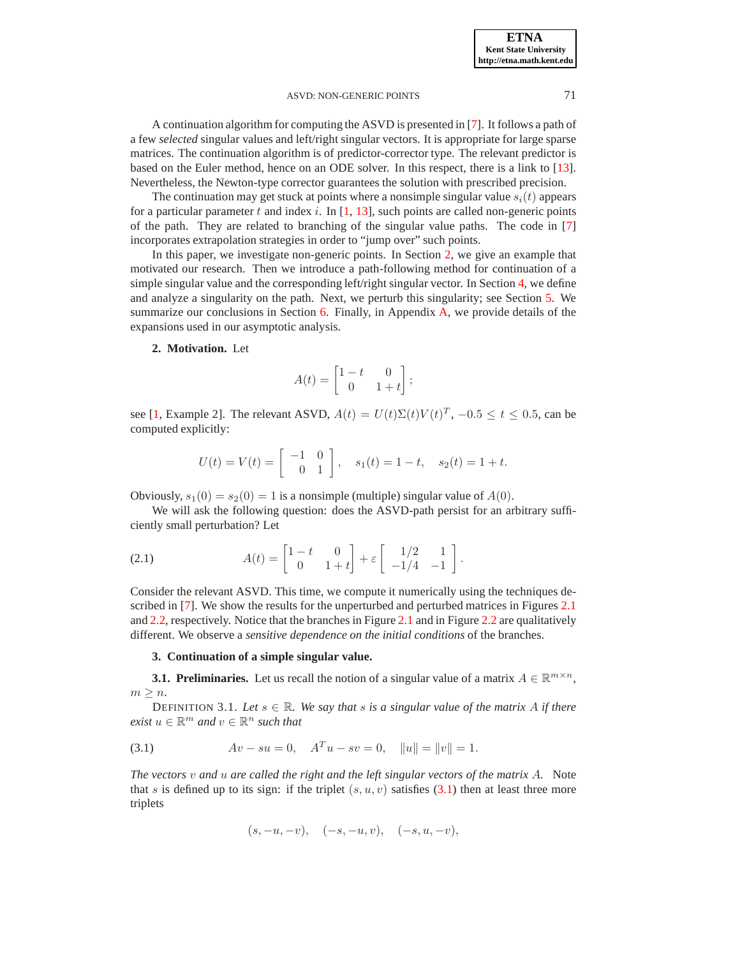A continuation algorithm for computing the ASVD is presented in [\[7\]](#page-16-4). It follows a path of a few *selected* singular values and left/right singular vectors. It is appropriate for large sparse matrices. The continuation algorithm is of predictor-corrector type. The relevant predictor is based on the Euler method, hence on an ODE solver. In this respect, there is a link to [\[13](#page-16-2)]. Nevertheless, the Newton-type corrector guarantees the solution with prescribed precision.

The continuation may get stuck at points where a nonsimple singular value  $s_i(t)$  appears for a particular parameter  $t$  and index  $i$ . In  $[1, 13]$  $[1, 13]$ , such points are called non-generic points of the path. They are related to branching of the singular value paths. The code in [\[7\]](#page-16-4) incorporates extrapolation strategies in order to "jump over" such points.

In this paper, we investigate non-generic points. In Section [2,](#page-1-0) we give an example that motivated our research. Then we introduce a path-following method for continuation of a simple singular value and the corresponding left/right singular vector. In Section [4,](#page-5-0) we define and analyze a singularity on the path. Next, we perturb this singularity; see Section [5.](#page-9-0) We summarize our conclusions in Section [6.](#page-12-0) Finally, in Appendix [A,](#page-13-0) we provide details of the expansions used in our asymptotic analysis.

#### <span id="page-1-0"></span>**2. Motivation.** Let

$$
A(t) = \begin{bmatrix} 1 - t & 0 \\ 0 & 1 + t \end{bmatrix};
$$

see [\[1,](#page-16-0) Example 2]. The relevant ASVD,  $A(t) = U(t)\Sigma(t)V(t)^T$ ,  $-0.5 \le t \le 0.5$ , can be computed explicitly:

$$
U(t) = V(t) = \begin{bmatrix} -1 & 0 \\ 0 & 1 \end{bmatrix}, \quad s_1(t) = 1 - t, \quad s_2(t) = 1 + t.
$$

Obviously,  $s_1(0) = s_2(0) = 1$  is a nonsimple (multiple) singular value of  $A(0)$ .

We will ask the following question: does the ASVD-path persist for an arbitrary sufficiently small perturbation? Let

<span id="page-1-2"></span>(2.1) 
$$
A(t) = \begin{bmatrix} 1-t & 0 \ 0 & 1+t \end{bmatrix} + \varepsilon \begin{bmatrix} 1/2 & 1 \ -1/4 & -1 \end{bmatrix}.
$$

Consider the relevant ASVD. This time, we compute it numerically using the techniques described in [\[7\]](#page-16-4). We show the results for the unperturbed and perturbed matrices in Figures [2.1](#page-2-0) and [2.2,](#page-2-1) respectively. Notice that the branches in Figure [2.1](#page-2-0) and in Figure [2.2](#page-2-1) are qualitatively different. We observe a *sensitive dependence on the initial conditions* of the branches.

# **3. Continuation of a simple singular value.**

**3.1. Preliminaries.** Let us recall the notion of a singular value of a matrix  $A \in \mathbb{R}^{m \times n}$ ,  $m \geq n$ .

DEFINITION 3.1. Let  $s \in \mathbb{R}$ . We say that s is a singular value of the matrix A if there  $\mathit{exist}\;u \in \mathbb{R}^m$  and  $v \in \mathbb{R}^n$  such that

(3.1) 
$$
Av - su = 0, \quad A^T u - sv = 0, \quad ||u|| = ||v|| = 1.
$$

*The vectors* v *and* u *are called the right and the left singular vectors of the matrix* A*.* Note that s is defined up to its sign: if the triplet  $(s, u, v)$  satisfies [\(3.1\)](#page-1-1) then at least three more triplets

<span id="page-1-1"></span>
$$
(s, -u, -v), \quad (-s, -u, v), \quad (-s, u, -v),
$$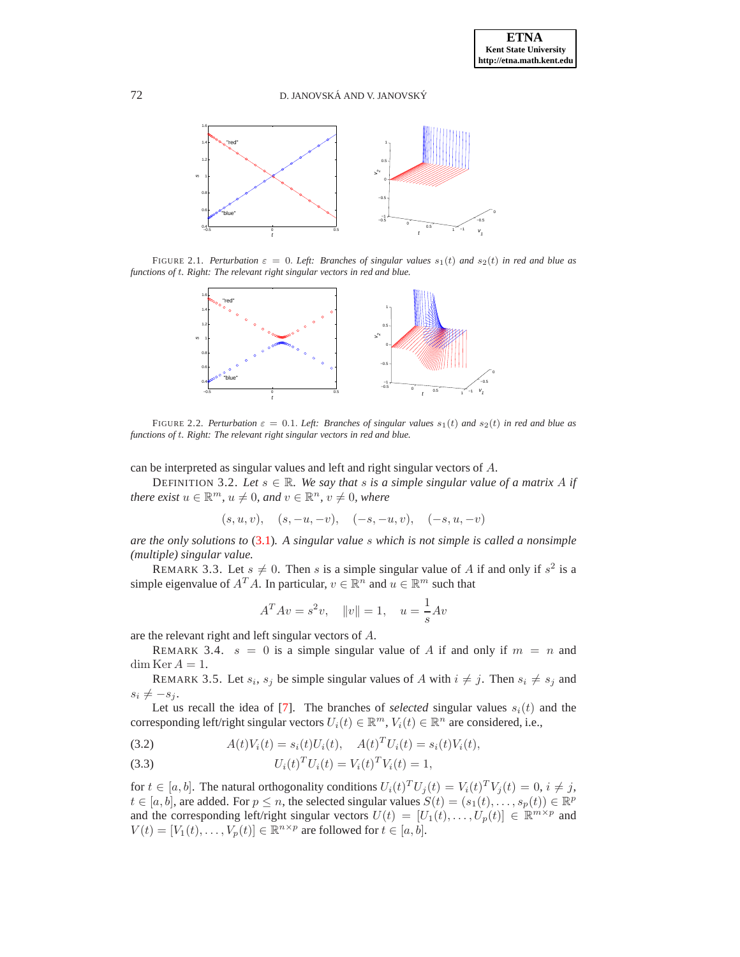

FIGURE 2.1. Perturbation  $\varepsilon = 0$ . Left: Branches of singular values  $s_1(t)$  and  $s_2(t)$  in red and blue as *functions of* t*. Right: The relevant right singular vectors in red and blue.*

<span id="page-2-0"></span>

<span id="page-2-1"></span>FIGURE 2.2. *Perturbation*  $\varepsilon = 0.1$ . *Left: Branches of singular values*  $s_1(t)$  *and*  $s_2(t)$  *in red and blue as functions of* t*. Right: The relevant right singular vectors in red and blue.*

can be interpreted as singular values and left and right singular vectors of A.

DEFINITION 3.2. Let  $s \in \mathbb{R}$ . We say that s is a simple singular value of a matrix A if *there exist*  $u \in \mathbb{R}^m$ ,  $u \neq 0$ , and  $v \in \mathbb{R}^n$ ,  $v \neq 0$ , where

$$
(s, u, v), (s, -u, -v), (-s, -u, v), (-s, u, -v)
$$

*are the only solutions to* [\(3.1\)](#page-1-1)*. A singular value* s *which is not simple is called a nonsimple (multiple) singular value.*

<span id="page-2-4"></span>REMARK 3.3. Let  $s \neq 0$ . Then s is a simple singular value of A if and only if  $s^2$  is a simple eigenvalue of  $A^T A$ . In particular,  $v \in \mathbb{R}^n$  and  $u \in \mathbb{R}^m$  such that

$$
A^T A v = s^2 v
$$
,  $||v|| = 1$ ,  $u = \frac{1}{s}Av$ 

<span id="page-2-5"></span>are the relevant right and left singular vectors of A.

<span id="page-2-6"></span>REMARK 3.4.  $s = 0$  is a simple singular value of A if and only if  $m = n$  and  $\dim \text{Ker } A = 1.$ 

REMARK 3.5. Let  $s_i$ ,  $s_j$  be simple singular values of A with  $i \neq j$ . Then  $s_i \neq s_j$  and  $s_i \neq -s_j$ .

Let us recall the idea of [\[7\]](#page-16-4). The branches of *selected* singular values  $s_i(t)$  and the corresponding left/right singular vectors  $U_i(t) \in \mathbb{R}^m$ ,  $V_i(t) \in \mathbb{R}^n$  are considered, i.e.,

<span id="page-2-2"></span>(3.2) 
$$
A(t)V_i(t) = s_i(t)U_i(t), \quad A(t)^T U_i(t) = s_i(t)V_i(t),
$$

<span id="page-2-3"></span>(3.3) 
$$
U_i(t)^T U_i(t) = V_i(t)^T V_i(t) = 1,
$$

for  $t \in [a, b]$ . The natural orthogonality conditions  $U_i(t)^T U_j(t) = V_i(t)^T V_j(t) = 0, i \neq j$ ,  $t \in [a, b]$ , are added. For  $p \leq n$ , the selected singular values  $S(t) = (s_1(t), \ldots, s_p(t)) \in \mathbb{R}^p$ and the corresponding left/right singular vectors  $U(t) = [U_1(t), \ldots, U_p(t)] \in \mathbb{R}^{m \times p}$  and  $V(t) = [V_1(t), \dots, V_p(t)] \in \mathbb{R}^{n \times p}$  are followed for  $t \in [a, b]$ .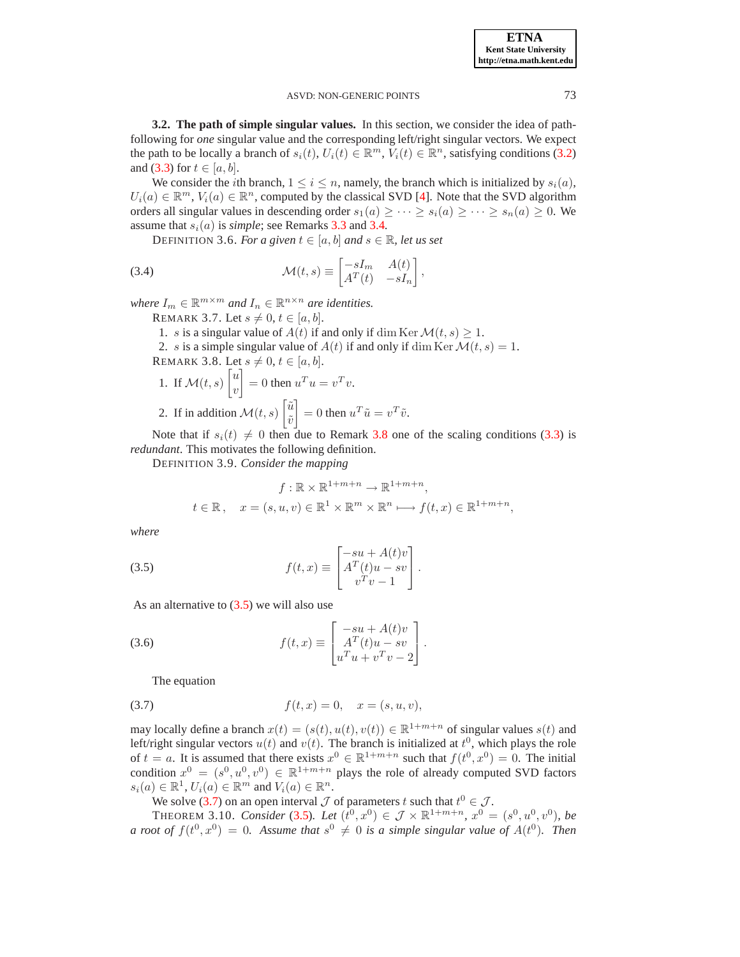<span id="page-3-7"></span>**3.2. The path of simple singular values.** In this section, we consider the idea of pathfollowing for *one* singular value and the corresponding left/right singular vectors. We expect the path to be locally a branch of  $s_i(t)$ ,  $U_i(t) \in \mathbb{R}^m$ ,  $V_i(t) \in \mathbb{R}^n$ , satisfying conditions [\(3.2\)](#page-2-2) and [\(3.3\)](#page-2-3) for  $t \in [a, b]$ .

We consider the *i*th branch,  $1 \le i \le n$ , namely, the branch which is initialized by  $s_i(a)$ ,  $U_i(a) \in \mathbb{R}^m$ ,  $V_i(a) \in \mathbb{R}^n$ , computed by the classical SVD [\[4](#page-16-5)]. Note that the SVD algorithm orders all singular values in descending order  $s_1(a) \geq \cdots \geq s_i(a) \geq \cdots \geq s_n(a) \geq 0$ . We assume that  $s_i(a)$  is *simple*; see Remarks [3.3](#page-2-4) and [3.4.](#page-2-5)

<span id="page-3-6"></span>DEFINITION 3.6. For a given  $t \in [a, b]$  and  $s \in \mathbb{R}$ , let us set

(3.4) 
$$
\mathcal{M}(t,s) \equiv \begin{bmatrix} -sI_m & A(t) \\ A^T(t) & -sI_n \end{bmatrix},
$$

<span id="page-3-3"></span>where  $I_m \in \mathbb{R}^{m \times m}$  and  $I_n \in \mathbb{R}^{n \times n}$  are identities.

REMARK 3.7. Let  $s \neq 0, t \in [a, b]$ .

1. s is a singular value of  $A(t)$  if and only if dim Ker  $\mathcal{M}(t, s) \geq 1$ .

<span id="page-3-0"></span>2. s is a simple singular value of  $A(t)$  if and only if dim Ker  $\mathcal{M}(t, s) = 1$ . REMARK 3.8. Let  $s \neq 0, t \in [a, b]$ .  $\lceil u \rceil$ 

1. If 
$$
\mathcal{M}(t, s) \begin{bmatrix} u \\ v \end{bmatrix} = 0
$$
 then  $u^T u = v^T v$ .  
2. If in addition  $\mathcal{M}(t, s) \begin{bmatrix} \tilde{u} \\ \tilde{v} \end{bmatrix} = 0$  then  $u^T \tilde{u} = v^T \tilde{v}$ .

Note that if  $s_i(t) \neq 0$  then due to Remark [3.8](#page-3-0) one of the scaling conditions [\(3.3\)](#page-2-3) is *redundant*. This motivates the following definition.

DEFINITION 3.9. *Consider the mapping*

<span id="page-3-1"></span>
$$
f: \mathbb{R} \times \mathbb{R}^{1+m+n} \to \mathbb{R}^{1+m+n},
$$
  

$$
t \in \mathbb{R}, \quad x = (s, u, v) \in \mathbb{R}^1 \times \mathbb{R}^m \times \mathbb{R}^n \longmapsto f(t, x) \in \mathbb{R}^{1+m+n},
$$

*where*

(3.5) 
$$
f(t,x) \equiv \begin{bmatrix} -su + A(t)v \\ A^T(t)u - sv \\ v^Tv - 1 \end{bmatrix}.
$$

As an alternative to  $(3.5)$  we will also use

(3.6) 
$$
f(t,x) \equiv \begin{bmatrix} -su + A(t)v \\ A^T(t)u - sv \\ u^Tu + v^Tv - 2 \end{bmatrix}.
$$

<span id="page-3-4"></span><span id="page-3-2"></span>The equation

(3.7) 
$$
f(t,x) = 0, \quad x = (s, u, v),
$$

may locally define a branch  $x(t) = (s(t), u(t), v(t)) \in \mathbb{R}^{1+m+n}$  of singular values  $s(t)$  and left/right singular vectors  $u(t)$  and  $v(t)$ . The branch is initialized at  $t^0$ , which plays the role of  $t = a$ . It is assumed that there exists  $x^0 \in \mathbb{R}^{1+m+n}$  such that  $f(t^0, x^0) = 0$ . The initial condition  $x^0 = (s^0, u^0, v^0) \in \mathbb{R}^{1+m+n}$  plays the role of already computed SVD factors  $s_i(a) \in \mathbb{R}^1$ ,  $U_i(a) \in \mathbb{R}^m$  and  $V_i(a) \in \mathbb{R}^n$ .

We solve [\(3.7\)](#page-3-2) on an open interval  $\mathcal J$  of parameters t such that  $t^0 \in \mathcal J$ .

<span id="page-3-5"></span>**THEOREM 3.10.** *Consider* [\(3.5\)](#page-3-1). Let  $(t^0, x^0) \in \mathcal{J} \times \mathbb{R}^{1+m+n}$ ,  $x^0 = (s^0, u^0, v^0)$ , be *a* root of  $f(t^0, x^0) = 0$ . Assume that  $s^0 \neq 0$  is a simple singular value of  $A(t^0)$ . Then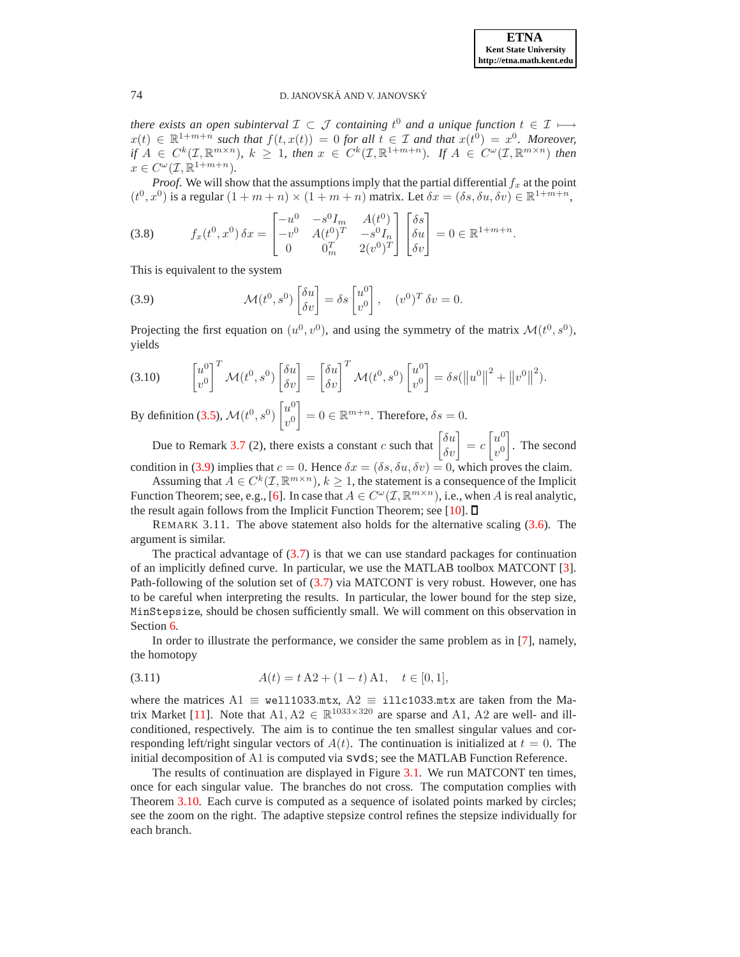*there exists an open subinterval*  $\mathcal{I}$  ⊂  $\mathcal J$  *containing*  $t^0$  *and a unique function*  $t \in \mathcal{I}$   $\longmapsto$  $x(t) \in \mathbb{R}^{1+m+n}$  such that  $f(t, x(t)) = 0$  for all  $t \in \mathcal{I}$  and that  $x(t^0) = x^0$ . Moreover,  $df A \in C^{k}(\mathcal{I}, \mathbb{R}^{m \times n}), k \geq 1$ , then  $x \in C^{k}(\mathcal{I}, \mathbb{R}^{1+m+n})$ . If  $A \in C^{\omega}(\mathcal{I}, \mathbb{R}^{m \times n})$  then  $x \in C^{\omega}(\mathcal{I}, \mathbb{R}^{1+m+n}).$ 

*Proof.* We will show that the assumptions imply that the partial differential  $f_x$  at the point  $(t^0, x^0)$  is a regular  $(1 + m + n) \times (1 + m + n)$  matrix. Let  $\delta x = (\delta s, \delta u, \delta v) \in \mathbb{R}^{1 + m + n}$ ,

<span id="page-4-1"></span>(3.8) 
$$
f_x(t^0, x^0) \,\delta x = \begin{bmatrix} -u^0 & -s^0 I_m & A(t^0) \\ -v^0 & A(t^0)^T & -s^0 I_n \\ 0 & 0_m^T & 2(v^0)^T \end{bmatrix} \begin{bmatrix} \delta s \\ \delta u \\ \delta v \end{bmatrix} = 0 \in \mathbb{R}^{1+m+n}.
$$

This is equivalent to the system

<span id="page-4-0"></span>(3.9) 
$$
\mathcal{M}(t^0, s^0) \begin{bmatrix} \delta u \\ \delta v \end{bmatrix} = \delta s \begin{bmatrix} u^0 \\ v^0 \end{bmatrix}, \quad (v^0)^T \delta v = 0.
$$

Projecting the first equation on  $(u^0, v^0)$ , and using the symmetry of the matrix  $\mathcal{M}(t^0, s^0)$ , yields

<span id="page-4-2"></span>
$$
(3.10) \qquad \begin{bmatrix} u^0 \\ v^0 \end{bmatrix}^T \mathcal{M}(t^0, s^0) \begin{bmatrix} \delta u \\ \delta v \end{bmatrix} = \begin{bmatrix} \delta u \\ \delta v \end{bmatrix}^T \mathcal{M}(t^0, s^0) \begin{bmatrix} u^0 \\ v^0 \end{bmatrix} = \delta s (\|u^0\|^2 + \|v^0\|^2).
$$

By definition [\(3.5\)](#page-3-1),  $\mathcal{M}(t^0, s^0)$  $\lceil u^0 \rceil$  $v^0$  $\Big] = 0 \in \mathbb{R}^{m+n}$ . Therefore,  $\delta s = 0$ .

Due to Remark [3.7](#page-3-3) (2), there exists a constant c such that  $\begin{bmatrix} \delta u \\ \delta v \end{bmatrix} = c$  $\lceil u^0 \rceil$  $v^0$ 1 . The second condition in [\(3.9\)](#page-4-0) implies that  $c = 0$ . Hence  $\delta x = (\delta s, \delta u, \delta v) = 0$ , which proves the claim.

Assuming that  $A \in C^k(\mathcal{I}, \mathbb{R}^{m \times n})$ ,  $k \geq 1$ , the statement is a consequence of the Implicit Function Theorem; see, e.g., [\[6\]](#page-16-6). In case that  $A \in C^{\omega}(\mathcal{I}, \mathbb{R}^{m \times n})$ , i.e., when A is real analytic, the result again follows from the Implicit Function Theorem; see [\[10\]](#page-16-7).  $\square$ 

REMARK 3.11. The above statement also holds for the alternative scaling [\(3.6\)](#page-3-4). The argument is similar.

The practical advantage of  $(3.7)$  is that we can use standard packages for continuation of an implicitly defined curve. In particular, we use the MATLAB toolbox MATCONT [\[3](#page-16-8)]. Path-following of the solution set of [\(3.7\)](#page-3-2) via MATCONT is very robust. However, one has to be careful when interpreting the results. In particular, the lower bound for the step size, MinStepsize, should be chosen sufficiently small. We will comment on this observation in Section [6.](#page-12-0)

In order to illustrate the performance, we consider the same problem as in [\[7\]](#page-16-4), namely, the homotopy

<span id="page-4-3"></span>
$$
(3.11) \t\t A(t) = t A2 + (1 - t) A1, \t t \in [0, 1],
$$

where the matrices  $A1 \equiv$  well1033.mtx,  $A2 \equiv$  illc1033.mtx are taken from the Ma-trix Market [\[11\]](#page-16-9). Note that  $A1, A2 \in \mathbb{R}^{1033 \times 320}$  are sparse and A1, A2 are well- and illconditioned, respectively. The aim is to continue the ten smallest singular values and corresponding left/right singular vectors of  $A(t)$ . The continuation is initialized at  $t = 0$ . The initial decomposition of A1 is computed via svds; see the MATLAB Function Reference.

The results of continuation are displayed in Figure [3.1.](#page-5-1) We run MATCONT ten times, once for each singular value. The branches do not cross. The computation complies with Theorem [3.10.](#page-3-5) Each curve is computed as a sequence of isolated points marked by circles; see the zoom on the right. The adaptive stepsize control refines the stepsize individually for each branch.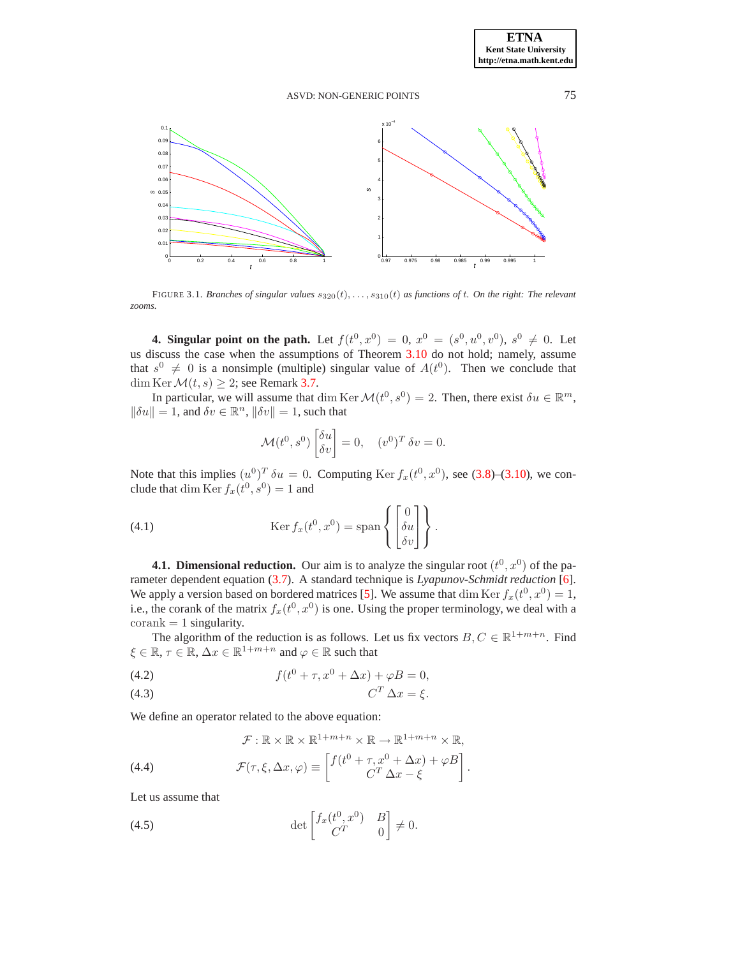

<span id="page-5-1"></span>FIGURE 3.1. *Branches of singular values* s320(t), . . . , s310(t) *as functions of* t*. On the right: The relevant zooms.*

<span id="page-5-0"></span>**4. Singular point on the path.** Let  $f(t^0, x^0) = 0$ ,  $x^0 = (s^0, u^0, v^0)$ ,  $s^0 \neq 0$ . Let us discuss the case when the assumptions of Theorem [3.10](#page-3-5) do not hold; namely, assume that  $s^0 \neq 0$  is a nonsimple (multiple) singular value of  $A(t^0)$ . Then we conclude that dim Ker $\mathcal{M}(t, s) \geq 2$ ; see Remark [3.7.](#page-3-3)

In particular, we will assume that dim Ker  $\mathcal{M}(t^0, s^0) = 2$ . Then, there exist  $\delta u \in \mathbb{R}^m$ ,  $\|\delta u\| = 1$ , and  $\delta v \in \mathbb{R}^n$ ,  $\|\delta v\| = 1$ , such that

<span id="page-5-4"></span>
$$
\mathcal{M}(t^0, s^0) \begin{bmatrix} \delta u \\ \delta v \end{bmatrix} = 0, \quad (v^0)^T \delta v = 0.
$$

Note that this implies  $(u^0)^T \delta u = 0$ . Computing Ker  $f_x(t^0, x^0)$ , see [\(3.8\)](#page-4-1)–[\(3.10\)](#page-4-2), we conclude that dim Ker  $f_x(t^0, s^0) = 1$  and

(4.1) 
$$
\operatorname{Ker} f_x(t^0, x^0) = \operatorname{span} \left\{ \begin{bmatrix} 0 \\ \delta u \\ \delta v \end{bmatrix} \right\}.
$$

<span id="page-5-5"></span>**4.1. Dimensional reduction.** Our aim is to analyze the singular root  $(t^0, x^0)$  of the parameter dependent equation [\(3.7\)](#page-3-2). A standard technique is *Lyapunov-Schmidt reduction* [\[6](#page-16-6)]. We apply a version based on bordered matrices [\[5](#page-16-10)]. We assume that  $\dim \text{Ker } f_x(t^0, x^0) = 1$ , i.e., the corank of the matrix  $f_x(t^0, x^0)$  is one. Using the proper terminology, we deal with a  $\text{corank} = 1$  singularity.

The algorithm of the reduction is as follows. Let us fix vectors  $B, C \in \mathbb{R}^{1+m+n}$ . Find  $\xi \in \mathbb{R}, \tau \in \mathbb{R}, \Delta x \in \mathbb{R}^{1+m+n}$  and  $\varphi \in \mathbb{R}$  such that

(4.2) 
$$
f(t^{0} + \tau, x^{0} + \Delta x) + \varphi B = 0,
$$

$$
C^{T} \Delta x = \xi.
$$

We define an operator related to the above equation:

<span id="page-5-3"></span><span id="page-5-2"></span>
$$
\mathcal{F}: \mathbb{R} \times \mathbb{R} \times \mathbb{R}^{1+m+n} \times \mathbb{R} \to \mathbb{R}^{1+m+n} \times \mathbb{R},
$$

(4.4) 
$$
\mathcal{F}(\tau,\xi,\Delta x,\varphi) \equiv \begin{bmatrix} f(t^0 + \tau,x^0 + \Delta x) + \varphi B \\ C^T \Delta x - \xi \end{bmatrix}.
$$

Let us assume that

(4.5) 
$$
\det \begin{bmatrix} f_x(t^0, x^0) & B \\ C^T & 0 \end{bmatrix} \neq 0.
$$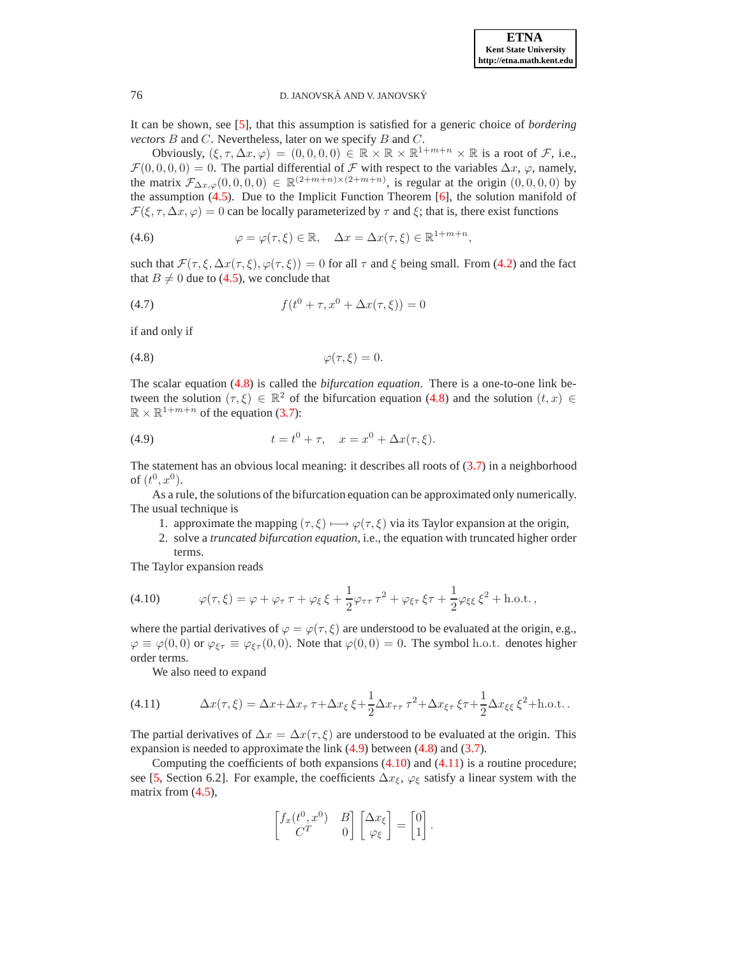It can be shown, see [\[5\]](#page-16-10), that this assumption is satisfied for a generic choice of *bordering vectors* B and C. Nevertheless, later on we specify B and C.

Obviously,  $(\xi, \tau, \Delta x, \varphi) = (0, 0, 0, 0) \in \mathbb{R} \times \mathbb{R} \times \mathbb{R}^{1+m+n} \times \mathbb{R}$  is a root of *F*, i.e.,  $\mathcal{F}(0, 0, 0, 0) = 0$ . The partial differential of  $\mathcal F$  with respect to the variables  $\Delta x, \varphi$ , namely, the matrix  $\mathcal{F}_{\Delta x,\varphi}(0,0,0,0) \in \mathbb{R}^{(2+m+n)\times(2+m+n)}$ , is regular at the origin  $(0,0,0,0)$  by the assumption  $(4.5)$ . Due to the Implicit Function Theorem [\[6\]](#page-16-6), the solution manifold of  $\mathcal{F}(\xi, \tau, \Delta x, \varphi) = 0$  can be locally parameterized by  $\tau$  and  $\xi$ ; that is, there exist functions

(4.6) 
$$
\varphi = \varphi(\tau, \xi) \in \mathbb{R}, \quad \Delta x = \Delta x(\tau, \xi) \in \mathbb{R}^{1+m+n},
$$

such that  $\mathcal{F}(\tau, \xi, \Delta x(\tau, \xi), \varphi(\tau, \xi)) = 0$  for all  $\tau$  and  $\xi$  being small. From [\(4.2\)](#page-5-3) and the fact that  $B \neq 0$  due to [\(4.5\)](#page-5-2), we conclude that

(4.7) 
$$
f(t^{0} + \tau, x^{0} + \Delta x(\tau, \xi)) = 0
$$

if and only if

<span id="page-6-0"></span>
$$
\varphi(\tau,\xi) = 0.
$$

The scalar equation [\(4.8\)](#page-6-0) is called the *bifurcation equation*. There is a one-to-one link between the solution  $(\tau, \xi) \in \mathbb{R}^2$  of the bifurcation equation [\(4.8\)](#page-6-0) and the solution  $(t, x) \in$  $\mathbb{R} \times \mathbb{R}^{1+m+n}$  of the equation [\(3.7\)](#page-3-2):

<span id="page-6-1"></span>(4.9) 
$$
t = t^0 + \tau, \quad x = x^0 + \Delta x(\tau, \xi).
$$

The statement has an obvious local meaning: it describes all roots of [\(3.7\)](#page-3-2) in a neighborhood of  $(t^0, x^0)$ .

As a rule, the solutions of the bifurcation equation can be approximated only numerically. The usual technique is

1. approximate the mapping  $(\tau, \xi) \mapsto \varphi(\tau, \xi)$  via its Taylor expansion at the origin,

2. solve a *truncated bifurcation equation*, i.e., the equation with truncated higher order terms.

The Taylor expansion reads

<span id="page-6-2"></span>(4.10) 
$$
\varphi(\tau,\xi) = \varphi + \varphi_{\tau}\tau + \varphi_{\xi}\xi + \frac{1}{2}\varphi_{\tau\tau}\tau^2 + \varphi_{\xi\tau}\xi\tau + \frac{1}{2}\varphi_{\xi\xi}\xi^2 + \text{h.o.t.},
$$

where the partial derivatives of  $\varphi = \varphi(\tau, \xi)$  are understood to be evaluated at the origin, e.g.,  $\varphi \equiv \varphi(0,0)$  or  $\varphi_{\xi\tau} \equiv \varphi_{\xi\tau}(0,0)$ . Note that  $\varphi(0,0) = 0$ . The symbol h.o.t. denotes higher order terms.

<span id="page-6-3"></span>We also need to expand

(4.11) 
$$
\Delta x(\tau,\xi) = \Delta x + \Delta x_{\tau} \tau + \Delta x_{\xi} \xi + \frac{1}{2} \Delta x_{\tau\tau} \tau^2 + \Delta x_{\xi\tau} \xi \tau + \frac{1}{2} \Delta x_{\xi\xi} \xi^2 + \text{h.o.t.}.
$$

The partial derivatives of  $\Delta x = \Delta x(\tau, \xi)$  are understood to be evaluated at the origin. This expansion is needed to approximate the link [\(4.9\)](#page-6-1) between [\(4.8\)](#page-6-0) and [\(3.7\)](#page-3-2).

Computing the coefficients of both expansions  $(4.10)$  and  $(4.11)$  is a routine procedure; see [\[5](#page-16-10), Section 6.2]. For example, the coefficients  $\Delta x_{\xi}$ ,  $\varphi_{\xi}$  satisfy a linear system with the matrix from  $(4.5)$ ,

$$
\begin{bmatrix} f_x(t^0,x^0) & B \\ C^T & 0 \end{bmatrix} \begin{bmatrix} \Delta x_{\xi} \\ \varphi_{\xi} \end{bmatrix} = \begin{bmatrix} 0 \\ 1 \end{bmatrix}.
$$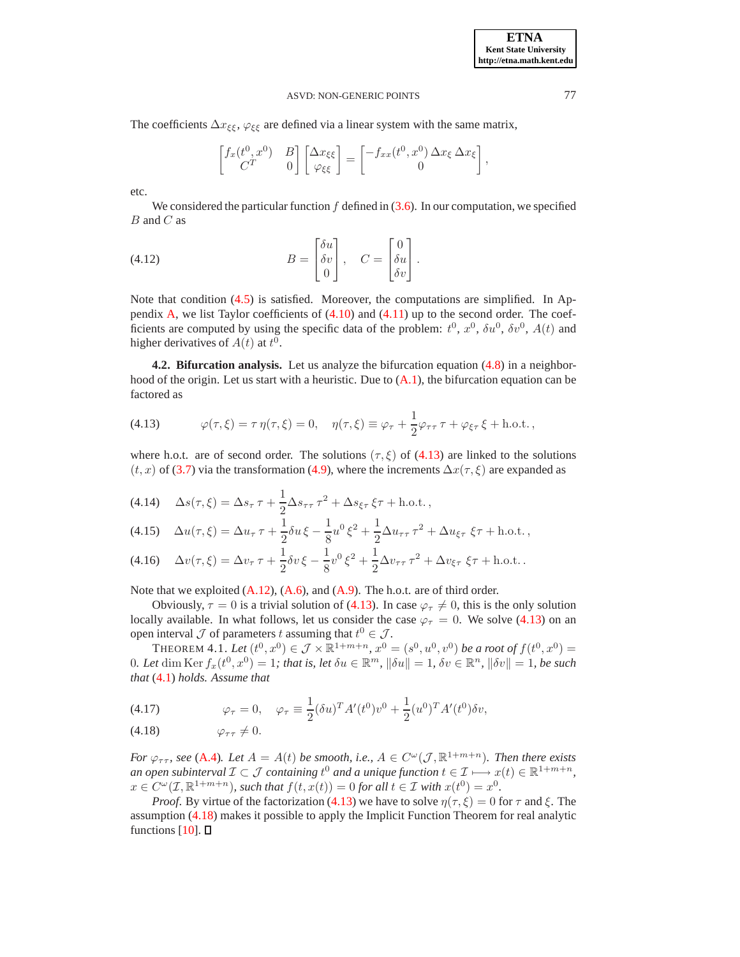The coefficients  $\Delta x_{\xi\xi}$ ,  $\varphi_{\xi\xi}$  are defined via a linear system with the same matrix,

<span id="page-7-4"></span>
$$
\begin{bmatrix} f_x(t^0, x^0) & B \\ C^T & 0 \end{bmatrix} \begin{bmatrix} \Delta x_{\xi\xi} \\ \varphi_{\xi\xi} \end{bmatrix} = \begin{bmatrix} -f_{xx}(t^0, x^0) \, \Delta x_{\xi} \, \Delta x_{\xi} \\ 0 \end{bmatrix},
$$

etc.

We considered the particular function  $f$  defined in [\(3.6\)](#page-3-4). In our computation, we specified  $B$  and  $C$  as

(4.12) 
$$
B = \begin{bmatrix} \delta u \\ \delta v \\ 0 \end{bmatrix}, \quad C = \begin{bmatrix} 0 \\ \delta u \\ \delta v \end{bmatrix}.
$$

Note that condition [\(4.5\)](#page-5-2) is satisfied. Moreover, the computations are simplified. In Appendix  $A$ , we list Taylor coefficients of  $(4.10)$  and  $(4.11)$  up to the second order. The coefficients are computed by using the specific data of the problem:  $t^0$ ,  $x^0$ ,  $\delta u^0$ ,  $\delta v^0$ ,  $A(t)$  and higher derivatives of  $A(t)$  at  $t^0$ .

**4.2. Bifurcation analysis.** Let us analyze the bifurcation equation [\(4.8\)](#page-6-0) in a neighborhood of the origin. Let us start with a heuristic. Due to  $(A.1)$ , the bifurcation equation can be factored as

<span id="page-7-0"></span>(4.13) 
$$
\varphi(\tau,\xi) = \tau \eta(\tau,\xi) = 0, \quad \eta(\tau,\xi) \equiv \varphi_{\tau} + \frac{1}{2} \varphi_{\tau\tau} \tau + \varphi_{\xi\tau} \xi + \text{h.o.t.},
$$

where h.o.t. are of second order. The solutions ( $\tau$ ,  $\xi$ ) of [\(4.13\)](#page-7-0) are linked to the solutions  $(t, x)$  of [\(3.7\)](#page-3-2) via the transformation [\(4.9\)](#page-6-1), where the increments  $\Delta x(\tau, \xi)$  are expanded as

<span id="page-7-3"></span>(4.14) 
$$
\Delta s(\tau, \xi) = \Delta s_{\tau} \tau + \frac{1}{2} \Delta s_{\tau \tau} \tau^2 + \Delta s_{\xi \tau} \xi \tau + \text{h.o.t.},
$$

$$
(4.15)\quad \Delta u(\tau,\xi) = \Delta u_{\tau}\,\tau + \frac{1}{2}\delta u\,\xi - \frac{1}{8}u^0\,\xi^2 + \frac{1}{2}\Delta u_{\tau\tau}\,\tau^2 + \Delta u_{\xi\tau}\,\xi\tau + \text{h.o.t.}\,,
$$

$$
(4.16)\quad \Delta v(\tau,\xi) = \Delta v_{\tau} \tau + \frac{1}{2} \delta v \xi - \frac{1}{8} v^0 \xi^2 + \frac{1}{2} \Delta v_{\tau \tau} \tau^2 + \Delta v_{\xi \tau} \xi \tau + \text{h.o.t.}.
$$

Note that we exploited  $(A.12)$ ,  $(A.6)$ , and  $(A.9)$ . The h.o.t. are of third order.

Obviously,  $\tau = 0$  is a trivial solution of [\(4.13\)](#page-7-0). In case  $\varphi_{\tau} \neq 0$ , this is the only solution locally available. In what follows, let us consider the case  $\varphi_{\tau} = 0$ . We solve [\(4.13\)](#page-7-0) on an open interval  $\mathcal J$  of parameters t assuming that  $t^0 \in \mathcal J$ .

<span id="page-7-2"></span>THEOREM 4.1. Let  $(t^0, x^0) \in \mathcal{J} \times \mathbb{R}^{1+m+n}$ ,  $x^0 = (s^0, u^0, v^0)$  be a root of  $f(t^0, x^0) =$  $0.$  Let  $\dim \text{Ker } f_x(t^0, x^0) = 1$ ; that is, let  $\delta u \in \mathbb{R}^m$ ,  $\|\delta u\| = 1$ ,  $\delta v \in \mathbb{R}^n$ ,  $\|\delta v\| = 1$ , be such *that* [\(4.1\)](#page-5-4) *holds. Assume that*

<span id="page-7-1"></span>(4.17) 
$$
\varphi_{\tau} = 0, \quad \varphi_{\tau} \equiv \frac{1}{2} (\delta u)^T A'(t^0) v^0 + \frac{1}{2} (u^0)^T A'(t^0) \delta v,
$$

$$
(4.18) \t\t \varphi_{\tau\tau} \neq 0.
$$

*For*  $\varphi_{\tau\tau}$ , see [\(A.4\)](#page-14-3). Let  $A = A(t)$  be smooth, i.e.,  $A \in C^{\omega}(\mathcal{J}, \mathbb{R}^{1+m+n})$ . Then there exists an open subinterval  $\mathcal{I} \subset \mathcal{J}$  containing  $t^0$  and a unique function  $t \in \mathcal{I} \longmapsto x(t) \in \mathbb{R}^{1+m+n}$ ,  $x \in C^{\omega}(\mathcal{I}, \mathbb{R}^{1+m+n})$ , such that  $f(t, x(t)) = 0$  for all  $t \in \mathcal{I}$  with  $x(t^0) = x^0$ .

*Proof.* By virtue of the factorization [\(4.13\)](#page-7-0) we have to solve  $\eta(\tau, \xi) = 0$  for  $\tau$  and  $\xi$ . The assumption [\(4.18\)](#page-7-1) makes it possible to apply the Implicit Function Theorem for real analytic functions  $[10]$ .  $\square$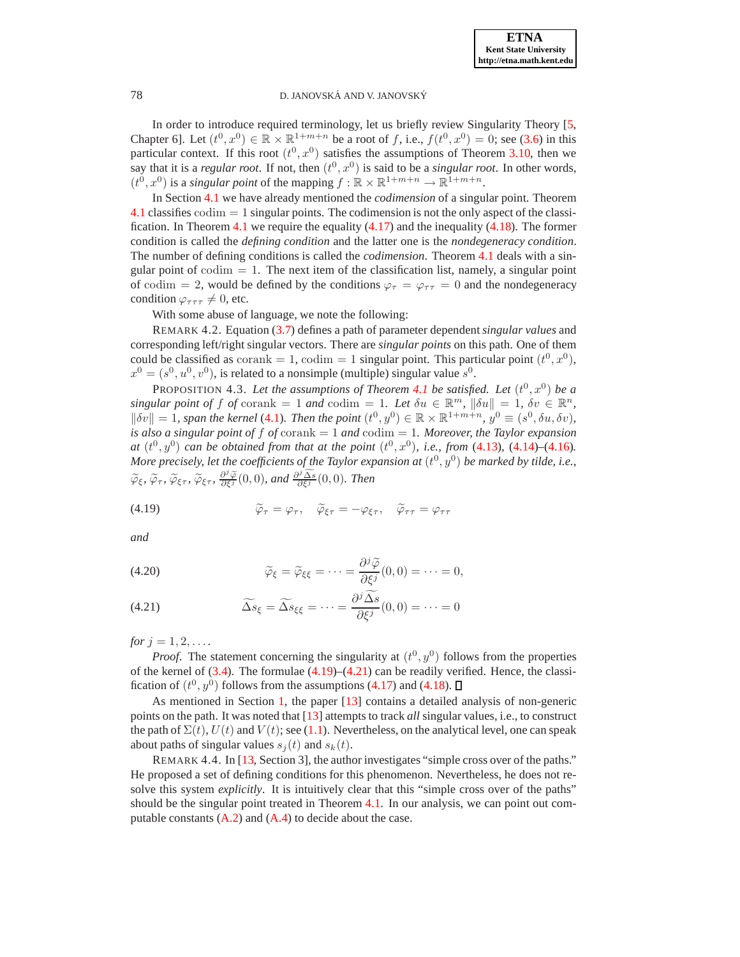In order to introduce required terminology, let us briefly review Singularity Theory [\[5,](#page-16-10) Chapter 6]. Let  $(t^0, x^0) \in \mathbb{R} \times \mathbb{R}^{1+m+n}$  be a root of f, i.e.,  $f(t^0, x^0) = 0$ ; see [\(3.6\)](#page-3-4) in this particular context. If this root  $(t^0, x^0)$  satisfies the assumptions of Theorem [3.10,](#page-3-5) then we say that it is a *regular root*. If not, then  $(t^0, x^0)$  is said to be a *singular root*. In other words,  $(t^0, x^0)$  is a *singular point* of the mapping  $f : \mathbb{R} \times \mathbb{R}^{1+m+n} \to \mathbb{R}^{1+m+n}$ .

In Section [4.1](#page-5-5) we have already mentioned the *codimension* of a singular point. Theorem [4.1](#page-7-2) classifies codim = 1 singular points. The codimension is not the only aspect of the classi-fication. In Theorem [4.1](#page-7-2) we require the equality  $(4.17)$  and the inequality  $(4.18)$ . The former condition is called the *defining condition* and the latter one is the *nondegeneracy condition*. The number of defining conditions is called the *codimension*. Theorem [4.1](#page-7-2) deals with a singular point of  $\text{codim} = 1$ . The next item of the classification list, namely, a singular point of codim = 2, would be defined by the conditions  $\varphi_{\tau} = \varphi_{\tau\tau} = 0$  and the nondegeneracy condition  $\varphi_{\tau\tau\tau} \neq 0$ , etc.

With some abuse of language, we note the following:

REMARK 4.2. Equation [\(3.7\)](#page-3-2) defines a path of parameter dependent*singular values* and corresponding left/right singular vectors. There are *singular points* on this path. One of them could be classified as  $\text{corank} = 1$ ,  $\text{codim} = 1$  singular point. This particular point  $(t^0, x^0)$ ,  $x^0 = (s^0, u^0, v^0)$ , is related to a nonsimple (multiple) singular value  $s^0$ .

<span id="page-8-2"></span>PROPOSITION 4.3. Let the assumptions of Theorem [4.1](#page-7-2) be satisfied. Let  $(t^0, x^0)$  be a  $singular point of f of corank = 1 and codim = 1. Let  $\delta u \in \mathbb{R}^m$ ,  $||\delta u|| = 1$ ,  $\delta v \in \mathbb{R}^n$ ,$  $\|\delta v\| = 1$ , span the kernel [\(4.1\)](#page-5-4). Then the point  $(t^0, y^0) \in \mathbb{R} \times \mathbb{R}^{1+m+n}$ ,  $y^0 \equiv (s^0, \delta u, \delta v)$ , *is also a singular point of* f *of* corank = 1 *and* codim = 1*. Moreover, the Taylor expansion at*  $(t^0, y^0)$  *can be obtained from that at the point*  $(t^0, x^0)$ *, i.e., from* [\(4.13\)](#page-7-0), [\(4.14\)](#page-7-3)–[\(4.16\)](#page-7-3)*.* More precisely, let the coefficients of the Taylor expansion at  $(t^0,y^0)$  be marked by tilde, i.e.,  $\widetilde{\varphi}_{\xi}, \widetilde{\varphi}_{\tau}, \widetilde{\varphi}_{\xi\tau}, \frac{\partial^j \widetilde{\varphi}}{\partial \xi^j}(0,0)$ *, and*  $\frac{\partial^j \widetilde{\Delta s}}{\partial \xi^j}(0,0)$ *. Then* 

<span id="page-8-0"></span>(4.19) 
$$
\widetilde{\varphi}_{\tau} = \varphi_{\tau}, \quad \widetilde{\varphi}_{\xi\tau} = -\varphi_{\xi\tau}, \quad \widetilde{\varphi}_{\tau\tau} = \varphi_{\tau\tau}
$$

*and*

<span id="page-8-1"></span>(4.20) 
$$
\widetilde{\varphi}_{\xi} = \widetilde{\varphi}_{\xi\xi} = \cdots = \frac{\partial^j \widetilde{\varphi}}{\partial \xi^j}(0,0) = \cdots = 0,
$$

(4.21) 
$$
\widetilde{\Delta s}_{\xi} = \widetilde{\Delta s}_{\xi\xi} = \cdots = \frac{\partial^j \widetilde{\Delta s}}{\partial \xi^j}(0,0) = \cdots = 0
$$

*for*  $j = 1, 2, \ldots$ 

*Proof.* The statement concerning the singularity at  $(t^0, y^0)$  follows from the properties of the kernel of  $(3.4)$ . The formulae  $(4.19)$ – $(4.21)$  can be readily verified. Hence, the classification of  $(t^0, y^0)$  follows from the assumptions [\(4.17\)](#page-7-1) and [\(4.18\)](#page-7-1).

As mentioned in Section [1,](#page-0-1) the paper [\[13](#page-16-2)] contains a detailed analysis of non-generic points on the path. It was noted that [\[13\]](#page-16-2) attempts to track *all* singular values, i.e., to construct the path of  $\Sigma(t)$ ,  $U(t)$  and  $V(t)$ ; see [\(1.1\)](#page-0-0). Nevertheless, on the analytical level, one can speak about paths of singular values  $s_j(t)$  and  $s_k(t)$ .

<span id="page-8-3"></span>REMARK 4.4. In [\[13](#page-16-2), Section 3], the author investigates "simple cross over of the paths." He proposed a set of defining conditions for this phenomenon. Nevertheless, he does not resolve this system *explicitly*. It is intuitively clear that this "simple cross over of the paths" should be the singular point treated in Theorem [4.1.](#page-7-2) In our analysis, we can point out computable constants  $(A.2)$  and  $(A.4)$  to decide about the case.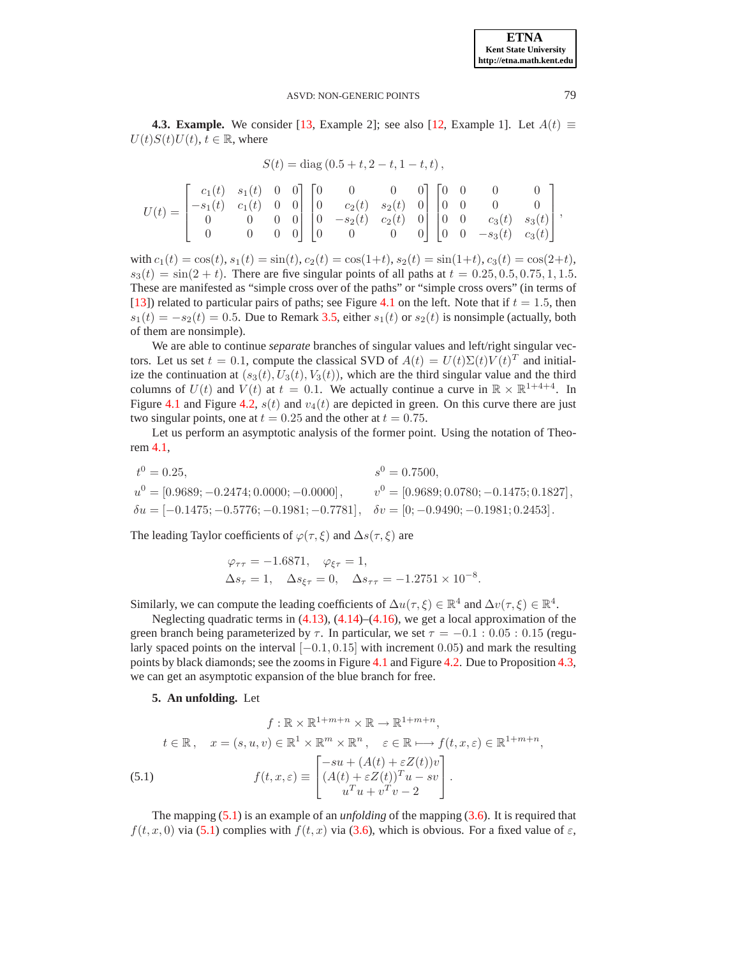,

# ASVD: NON-GENERIC POINTS 79

**4.3. Example.** We consider [\[13,](#page-16-2) Example 2]; see also [\[12,](#page-16-3) Example 1]. Let  $A(t) \equiv$  $U(t)S(t)U(t)$ ,  $t \in \mathbb{R}$ , where

$$
S(t) = diag(0.5 + t, 2 - t, 1 - t, t),
$$

$$
U(t) = \begin{bmatrix} c_1(t) & s_1(t) & 0 & 0 \\ -s_1(t) & c_1(t) & 0 & 0 \\ 0 & 0 & 0 & 0 \\ 0 & 0 & 0 & 0 \end{bmatrix} \begin{bmatrix} 0 & 0 & 0 & 0 \\ 0 & c_2(t) & s_2(t) & 0 \\ 0 & -s_2(t) & c_2(t) & 0 \\ 0 & 0 & 0 & 0 \end{bmatrix} \begin{bmatrix} 0 & 0 & 0 & 0 \\ 0 & 0 & 0 & 0 \\ 0 & 0 & c_3(t) & s_3(t) \\ 0 & 0 & -s_3(t) & c_3(t) \end{bmatrix},
$$

with  $c_1(t) = \cos(t)$ ,  $s_1(t) = \sin(t)$ ,  $c_2(t) = \cos(1+t)$ ,  $s_2(t) = \sin(1+t)$ ,  $c_3(t) = \cos(2+t)$ ,  $s_3(t) = \sin(2 + t)$ . There are five singular points of all paths at  $t = 0.25, 0.5, 0.75, 1, 1.5$ . These are manifested as "simple cross over of the paths" or "simple cross overs" (in terms of [\[13](#page-16-2)]) related to particular pairs of paths; see Figure [4.1](#page-10-0) on the left. Note that if  $t = 1.5$ , then  $s_1(t) = -s_2(t) = 0.5$ . Due to Remark [3.5,](#page-2-6) either  $s_1(t)$  or  $s_2(t)$  is nonsimple (actually, both of them are nonsimple).

We are able to continue *separate* branches of singular values and left/right singular vectors. Let us set  $t = 0.1$ , compute the classical SVD of  $A(t) = U(t)\Sigma(t)V(t)^T$  and initialize the continuation at  $(s_3(t), U_3(t), V_3(t))$ , which are the third singular value and the third columns of  $U(t)$  and  $V(t)$  at  $t = 0.1$ . We actually continue a curve in  $\mathbb{R} \times \mathbb{R}^{1+4+4}$ . In Figure [4.1](#page-10-0) and Figure [4.2,](#page-10-1)  $s(t)$  and  $v_4(t)$  are depicted in green. On this curve there are just two singular points, one at  $t = 0.25$  and the other at  $t = 0.75$ .

Let us perform an asymptotic analysis of the former point. Using the notation of Theorem [4.1,](#page-7-2)

$$
t^0 = 0.25,
$$
  
\n $s^0 = 0.7500,$   
\n $u^0 = [0.9689; -0.2474; 0.0000; -0.0000],$   
\n $v^0 = [0.9689; 0.0780; -0.1475; 0.1827],$   
\n $\delta u = [-0.1475; -0.5776; -0.1981; -0.7781],$   
\n $\delta v = [0; -0.9490; -0.1981; 0.2453].$ 

The leading Taylor coefficients of  $\varphi(\tau, \xi)$  and  $\Delta s(\tau, \xi)$  are

$$
\varphi_{\tau\tau} = -1.6871, \quad \varphi_{\xi\tau} = 1,
$$
  
\n $\Delta s_{\tau} = 1, \quad \Delta s_{\xi\tau} = 0, \quad \Delta s_{\tau\tau} = -1.2751 \times 10^{-8}.$ 

Similarly, we can compute the leading coefficients of  $\Delta u(\tau,\xi) \in \mathbb{R}^4$  and  $\Delta v(\tau,\xi) \in \mathbb{R}^4$ .

Neglecting quadratic terms in  $(4.13)$ ,  $(4.14)$ – $(4.16)$ , we get a local approximation of the green branch being parameterized by  $\tau$ . In particular, we set  $\tau = -0.1 : 0.05 : 0.15$  (regularly spaced points on the interval  $[-0.1, 0.15]$  with increment 0.05) and mark the resulting points by black diamonds; see the zooms in Figure [4.1](#page-10-0) and Figure [4.2.](#page-10-1) Due to Proposition [4.3,](#page-8-2) we can get an asymptotic expansion of the blue branch for free.

<span id="page-9-0"></span>**5. An unfolding.** Let

$$
f: \mathbb{R} \times \mathbb{R}^{1+m+n} \times \mathbb{R} \to \mathbb{R}^{1+m+n},
$$

$$
t \in \mathbb{R}, \quad x = (s, u, v) \in \mathbb{R}^1 \times \mathbb{R}^m \times \mathbb{R}^n, \quad \varepsilon \in \mathbb{R} \mapsto f(t, x, \varepsilon) \in \mathbb{R}^{1+m+n}
$$

$$
(5.1) \qquad f(t, x, \varepsilon) \equiv \begin{bmatrix} -su + (A(t) + \varepsilon Z(t))v \\ (A(t) + \varepsilon Z(t))^T u - sv \\ u^T u + v^T v - 2 \end{bmatrix}.
$$

<span id="page-9-1"></span>The mapping [\(5.1\)](#page-9-1) is an example of an *unfolding* of the mapping [\(3.6\)](#page-3-4). It is required that  $f(t, x, 0)$  via [\(5.1\)](#page-9-1) complies with  $f(t, x)$  via [\(3.6\)](#page-3-4), which is obvious. For a fixed value of  $\varepsilon$ ,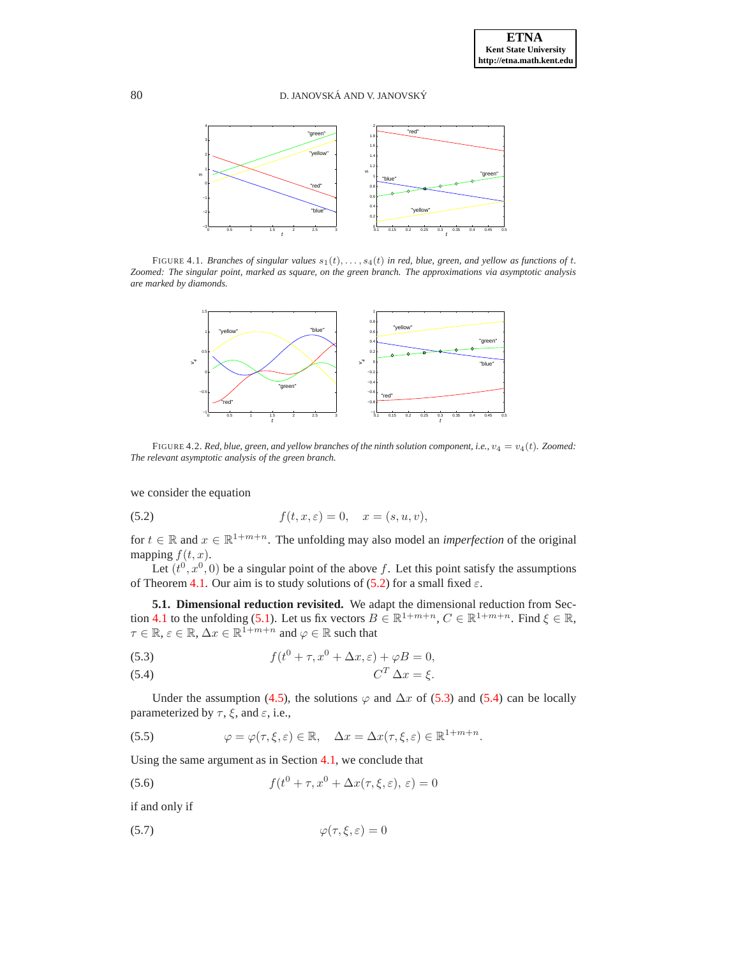

FIGURE 4.1. *Branches of singular values*  $s_1(t), \ldots, s_4(t)$  *in red, blue, green, and yellow as functions of t. Zoomed: The singular point, marked as square, on the green branch. The approximations via asymptotic analysis are marked by diamonds.*

<span id="page-10-0"></span>

<span id="page-10-1"></span>FIGURE 4.2. *Red, blue, green, and yellow branches of the ninth solution component, i.e.,*  $v_4 = v_4(t)$ *. Zoomed: The relevant asymptotic analysis of the green branch.*

we consider the equation

<span id="page-10-2"></span>(5.2) 
$$
f(t, x, \varepsilon) = 0, \quad x = (s, u, v),
$$

for  $t \in \mathbb{R}$  and  $x \in \mathbb{R}^{1+m+n}$ . The unfolding may also model an *imperfection* of the original mapping  $f(t, x)$ .

Let  $(t^0, x^0, 0)$  be a singular point of the above f. Let this point satisfy the assumptions of Theorem [4.1.](#page-7-2) Our aim is to study solutions of [\(5.2\)](#page-10-2) for a small fixed  $\varepsilon$ .

**5.1. Dimensional reduction revisited.** We adapt the dimensional reduction from Sec-tion [4.1](#page-5-5) to the unfolding [\(5.1\)](#page-9-1). Let us fix vectors  $B \in \mathbb{R}^{1+m+n}$ ,  $C \in \mathbb{R}^{1+m+n}$ . Find  $\xi \in \mathbb{R}$ ,  $\tau \in \mathbb{R}, \varepsilon \in \mathbb{R}, \Delta x \in \mathbb{R}^{\bar{1}+m+n}$  and  $\varphi \in \mathbb{R}$  such that

<span id="page-10-3"></span>(5.3) 
$$
f(t^{0} + \tau, x^{0} + \Delta x, \varepsilon) + \varphi B = 0,
$$

$$
C^T \Delta x = \xi.
$$

Under the assumption [\(4.5\)](#page-5-2), the solutions  $\varphi$  and  $\Delta x$  of [\(5.3\)](#page-10-3) and [\(5.4\)](#page-10-3) can be locally parameterized by  $\tau$ ,  $\xi$ , and  $\varepsilon$ , i.e.,

(5.5) 
$$
\varphi = \varphi(\tau, \xi, \varepsilon) \in \mathbb{R}, \quad \Delta x = \Delta x(\tau, \xi, \varepsilon) \in \mathbb{R}^{1+m+n}.
$$

Using the same argument as in Section [4.1,](#page-5-5) we conclude that

<span id="page-10-5"></span>(5.6) 
$$
f(t^{0} + \tau, x^{0} + \Delta x(\tau, \xi, \varepsilon), \varepsilon) = 0
$$

if and only if

<span id="page-10-4"></span>
$$
\varphi(\tau,\xi,\varepsilon) = 0
$$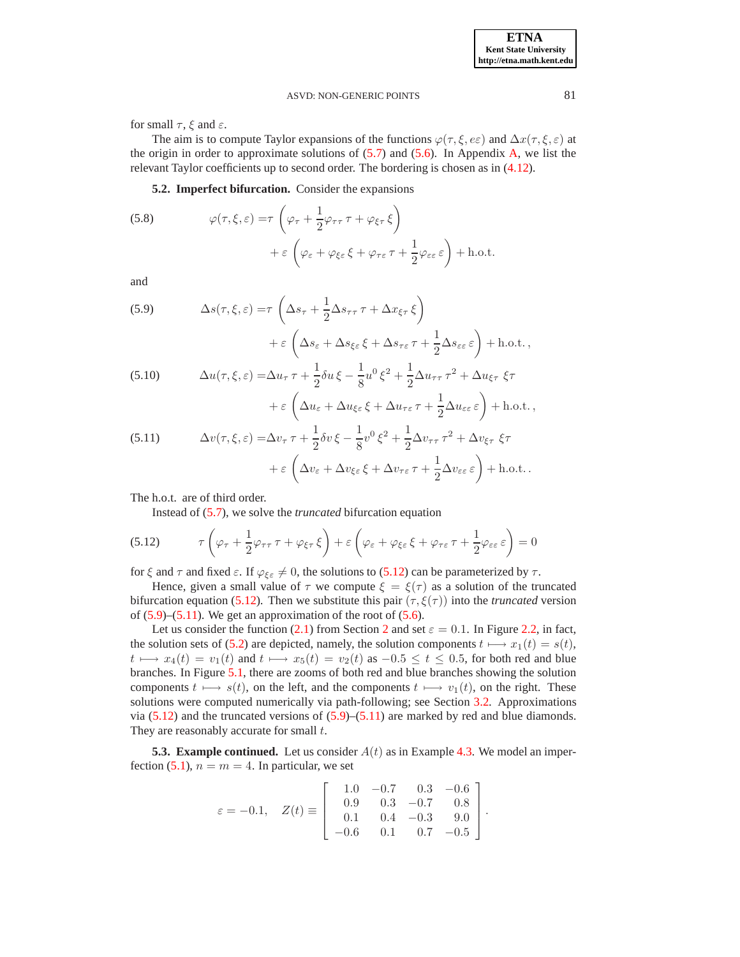for small  $\tau$ ,  $\xi$  and  $\varepsilon$ .

The aim is to compute Taylor expansions of the functions  $\varphi(\tau, \xi, \varepsilon \varepsilon)$  and  $\Delta x(\tau, \xi, \varepsilon)$  at the origin in order to approximate solutions of  $(5.7)$  and  $(5.6)$ . In Appendix [A,](#page-13-0) we list the relevant Taylor coefficients up to second order. The bordering is chosen as in [\(4.12\)](#page-7-4).

**5.2. Imperfect bifurcation.** Consider the expansions

<span id="page-11-4"></span>(5.8) 
$$
\varphi(\tau,\xi,\varepsilon) = \tau \left( \varphi_{\tau} + \frac{1}{2} \varphi_{\tau\tau} \tau + \varphi_{\xi\tau} \xi \right) + \varepsilon \left( \varphi_{\varepsilon} + \varphi_{\xi\varepsilon} \xi + \varphi_{\tau\varepsilon} \tau + \frac{1}{2} \varphi_{\varepsilon\varepsilon} \varepsilon \right) + \text{h.o.t.}
$$

and

<span id="page-11-1"></span>(5.9) 
$$
\Delta s(\tau, \xi, \varepsilon) = \tau \left( \Delta s_{\tau} + \frac{1}{2} \Delta s_{\tau \tau} \tau + \Delta x_{\xi \tau} \xi \right) + \varepsilon \left( \Delta s_{\varepsilon} + \Delta s_{\xi \varepsilon} \xi + \Delta s_{\tau \varepsilon} \tau + \frac{1}{2} \Delta s_{\varepsilon \varepsilon} \varepsilon \right) + \text{h.o.t.},
$$
  
(5.10) 
$$
\Delta u(\tau, \xi, \varepsilon) = \Delta u_{\tau} \tau + \frac{1}{2} \delta u \xi - \frac{1}{8} u^0 \xi^2 + \frac{1}{2} \Delta u_{\tau \tau} \tau^2 + \Delta u_{\xi \tau} \xi \tau + \varepsilon \left( \Delta u_{\varepsilon} + \Delta u_{\xi \varepsilon} \xi + \Delta u_{\tau \varepsilon} \tau + \frac{1}{2} \Delta u_{\varepsilon \varepsilon} \varepsilon \right) + \text{h.o.t.},
$$

<span id="page-11-2"></span>(5.11) 
$$
\Delta v(\tau, \xi, \varepsilon) = \Delta v_{\tau} \tau + \frac{1}{2} \delta v \xi - \frac{1}{8} v^0 \xi^2 + \frac{1}{2} \Delta v_{\tau \tau} \tau^2 + \Delta v_{\xi \tau} \xi \tau + \varepsilon \left( \Delta v_{\varepsilon} + \Delta v_{\xi \varepsilon} \xi + \Delta v_{\tau \varepsilon} \tau + \frac{1}{2} \Delta v_{\varepsilon \varepsilon} \varepsilon \right) + \text{h.o.t.}.
$$

The h.o.t. are of third order.

<span id="page-11-0"></span>Instead of [\(5.7\)](#page-10-4), we solve the *truncated* bifurcation equation

(5.12) 
$$
\tau \left( \varphi_{\tau} + \frac{1}{2} \varphi_{\tau \tau} \tau + \varphi_{\xi \tau} \xi \right) + \varepsilon \left( \varphi_{\varepsilon} + \varphi_{\xi \varepsilon} \xi + \varphi_{\tau \varepsilon} \tau + \frac{1}{2} \varphi_{\varepsilon \varepsilon} \varepsilon \right) = 0
$$

for  $\xi$  and  $\tau$  and fixed  $\varepsilon$ . If  $\varphi_{\xi\epsilon} \neq 0$ , the solutions to [\(5.12\)](#page-11-0) can be parameterized by  $\tau$ .

Hence, given a small value of  $\tau$  we compute  $\xi = \xi(\tau)$  as a solution of the truncated bifurcation equation [\(5.12\)](#page-11-0). Then we substitute this pair  $(\tau, \xi(\tau))$  into the *truncated* version of  $(5.9)$ – $(5.11)$ . We get an approximation of the root of  $(5.6)$ .

Let us consider the function [\(2.1\)](#page-1-2) from Section [2](#page-1-0) and set  $\varepsilon = 0.1$ . In Figure [2.2,](#page-2-1) in fact, the solution sets of [\(5.2\)](#page-10-2) are depicted, namely, the solution components  $t \mapsto x_1(t) = s(t)$ ,  $t \mapsto x_4(t) = v_1(t)$  and  $t \mapsto x_5(t) = v_2(t)$  as  $-0.5 \le t \le 0.5$ , for both red and blue branches. In Figure [5.1,](#page-12-1) there are zooms of both red and blue branches showing the solution components  $t \mapsto s(t)$ , on the left, and the components  $t \mapsto v_1(t)$ , on the right. These solutions were computed numerically via path-following; see Section [3.2.](#page-3-7) Approximations via  $(5.12)$  and the truncated versions of  $(5.9)$ – $(5.11)$  are marked by red and blue diamonds. They are reasonably accurate for small  $t$ .

<span id="page-11-3"></span>**5.3. Example continued.** Let us consider  $A(t)$  as in Example [4.3.](#page-8-3) We model an imper-fection [\(5.1\)](#page-9-1),  $n = m = 4$ . In particular, we set

$$
\varepsilon=-0.1, \quad Z(t)\equiv \left[\begin{array}{rrrr} 1.0 & -0.7 & 0.3 & -0.6 \\ 0.9 & 0.3 & -0.7 & 0.8 \\ 0.1 & 0.4 & -0.3 & 9.0 \\ -0.6 & 0.1 & 0.7 & -0.5 \end{array}\right].
$$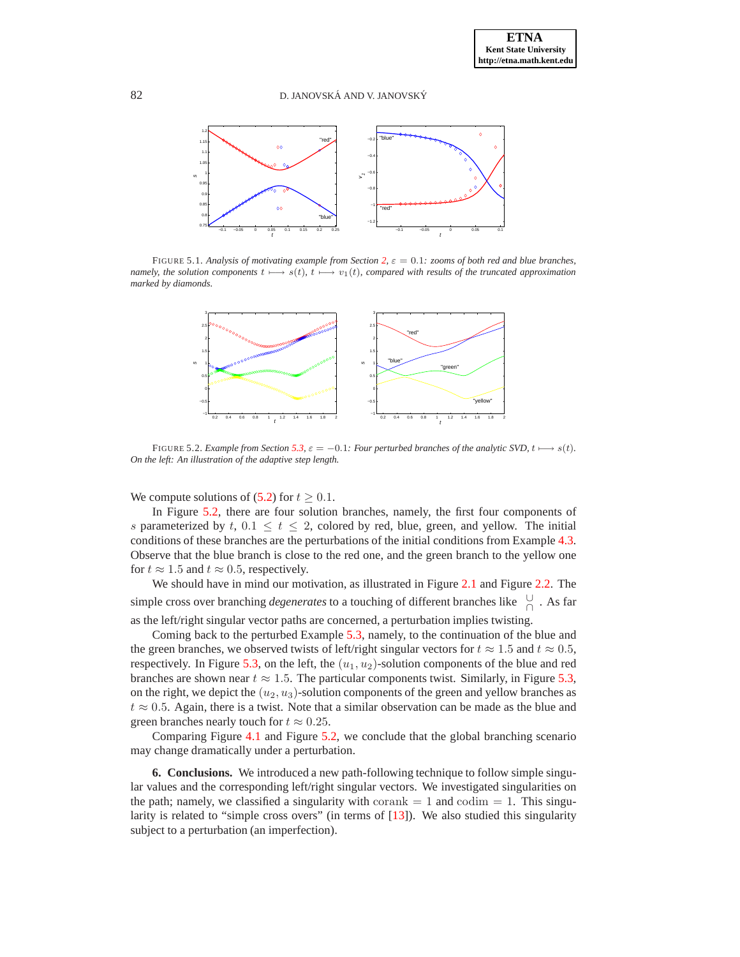

FIGURE 5.1. *Analysis of motivating example from Section [2,](#page-1-0)* ε = 0.1*: zooms of both red and blue branches, namely, the solution components*  $t \mapsto s(t)$ *,*  $t \mapsto v_1(t)$ *, compared with results of the truncated approximation marked by diamonds.*

<span id="page-12-1"></span>

<span id="page-12-2"></span>FIGURE 5.2. *Example from Section* [5.3,](#page-11-3)  $\varepsilon = -0.1$ *: Four perturbed branches of the analytic SVD,*  $t \mapsto s(t)$ *. On the left: An illustration of the adaptive step length.*

We compute solutions of [\(5.2\)](#page-10-2) for  $t \geq 0.1$ .

In Figure [5.2,](#page-12-2) there are four solution branches, namely, the first four components of s parameterized by t,  $0.1 \le t \le 2$ , colored by red, blue, green, and yellow. The initial conditions of these branches are the perturbations of the initial conditions from Example [4.3.](#page-8-3) Observe that the blue branch is close to the red one, and the green branch to the yellow one for  $t \approx 1.5$  and  $t \approx 0.5$ , respectively.

We should have in mind our motivation, as illustrated in Figure [2.1](#page-2-0) and Figure [2.2.](#page-2-1) The simple cross over branching *degenerates* to a touching of different branches like <sup>∪</sup> ∩ . As far as the left/right singular vector paths are concerned, a perturbation implies twisting.

Coming back to the perturbed Example [5.3,](#page-11-3) namely, to the continuation of the blue and the green branches, we observed twists of left/right singular vectors for  $t \approx 1.5$  and  $t \approx 0.5$ , respectively. In Figure [5.3,](#page-13-1) on the left, the  $(u_1, u_2)$ -solution components of the blue and red branches are shown near  $t \approx 1.5$ . The particular components twist. Similarly, in Figure [5.3,](#page-13-1) on the right, we depict the  $(u_2, u_3)$ -solution components of the green and yellow branches as  $t \approx 0.5$ . Again, there is a twist. Note that a similar observation can be made as the blue and green branches nearly touch for  $t \approx 0.25$ .

Comparing Figure [4.1](#page-10-0) and Figure [5.2,](#page-12-2) we conclude that the global branching scenario may change dramatically under a perturbation.

<span id="page-12-0"></span>**6. Conclusions.** We introduced a new path-following technique to follow simple singular values and the corresponding left/right singular vectors. We investigated singularities on the path; namely, we classified a singularity with corank  $= 1$  and codim  $= 1$ . This singularity is related to "simple cross overs" (in terms of [\[13\]](#page-16-2)). We also studied this singularity subject to a perturbation (an imperfection).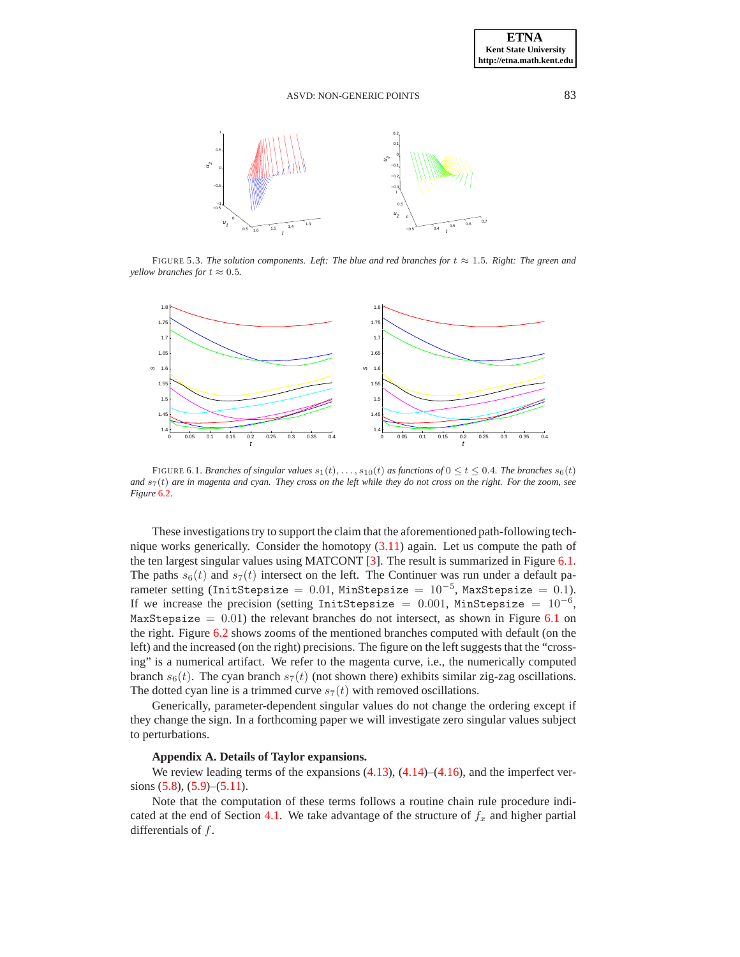

<span id="page-13-1"></span>FIGURE 5.3. *The solution components. Left: The blue and red branches for*  $t \approx 1.5$ *. Right: The green and yellow branches for*  $t \approx 0.5$ *.* 



<span id="page-13-2"></span>FIGURE 6.1. *Branches of singular values*  $s_1(t), \ldots, s_{10}(t)$  *as functions of*  $0 \le t \le 0.4$ *. The branches*  $s_6(t)$ and  $s<sub>7</sub>(t)$  are in magenta and cyan. They cross on the left while they do not cross on the right. For the zoom, see *Figure* [6.2.](#page-14-4)

These investigations try to support the claim that the aforementioned path-following technique works generically. Consider the homotopy [\(3.11\)](#page-4-3) again. Let us compute the path of the ten largest singular values using MATCONT [\[3](#page-16-8)]. The result is summarized in Figure [6.1.](#page-13-2) The paths  $s_6(t)$  and  $s_7(t)$  intersect on the left. The Continuer was run under a default parameter setting (InitStepsize = 0.01, MinStepsize =  $10^{-5}$ , MaxStepsize = 0.1). If we increase the precision (setting InitStepsize =  $0.001$ , MinStepsize =  $10^{-6}$ , MaxStepsize  $= 0.01$ ) the relevant branches do not intersect, as shown in Figure [6.1](#page-13-2) on the right. Figure [6.2](#page-14-4) shows zooms of the mentioned branches computed with default (on the left) and the increased (on the right) precisions. The figure on the left suggests that the "crossing" is a numerical artifact. We refer to the magenta curve, i.e., the numerically computed branch  $s_6(t)$ . The cyan branch  $s_7(t)$  (not shown there) exhibits similar zig-zag oscillations. The dotted cyan line is a trimmed curve  $s_7(t)$  with removed oscillations.

Generically, parameter-dependent singular values do not change the ordering except if they change the sign. In a forthcoming paper we will investigate zero singular values subject to perturbations.

## <span id="page-13-0"></span>**Appendix A. Details of Taylor expansions.**

We review leading terms of the expansions  $(4.13)$ ,  $(4.14)$ – $(4.16)$ , and the imperfect versions  $(5.8)$ ,  $(5.9)$ – $(5.11)$ .

Note that the computation of these terms follows a routine chain rule procedure indi-cated at the end of Section [4.1.](#page-5-5) We take advantage of the structure of  $f_x$  and higher partial differentials of  $f$ .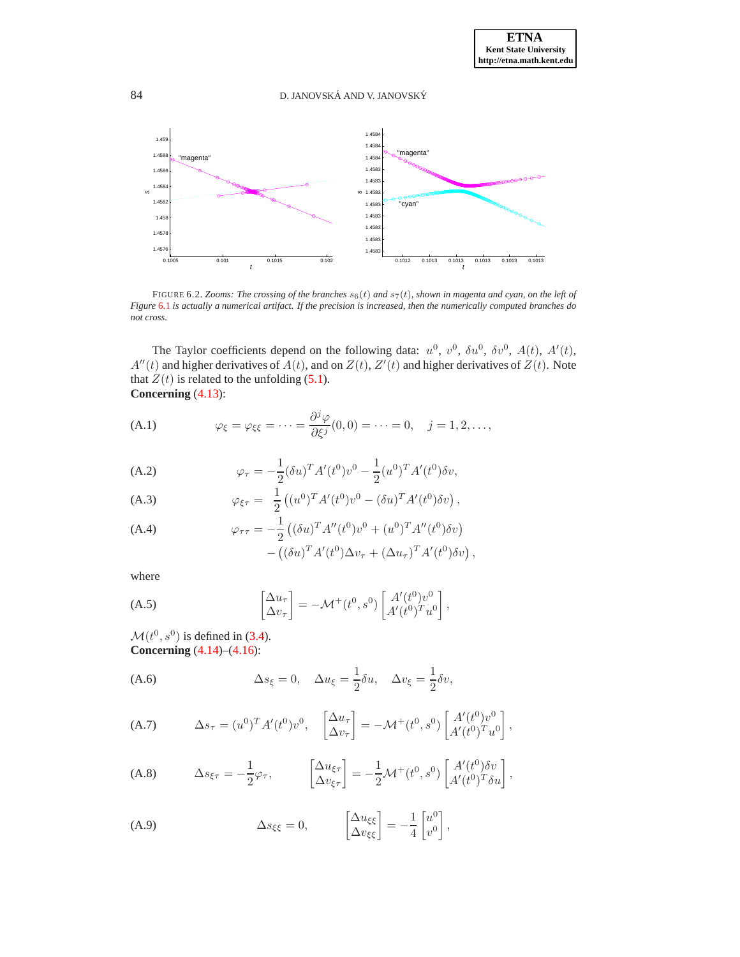

<span id="page-14-4"></span>FIGURE 6.2. *Zooms: The crossing of the branches*  $s_6(t)$  *and*  $s_7(t)$ *, shown in magenta and cyan, on the left of Figure* [6.1](#page-13-2) *is actually a numerical artifact. If the precision is increased, then the numerically computed branches do not cross.*

The Taylor coefficients depend on the following data:  $u^0$ ,  $v^0$ ,  $\delta u^0$ ,  $\delta v^0$ ,  $A(t)$ ,  $A'(t)$ ,  $A''(t)$  and higher derivatives of  $\overline{A}(t)$ , and on  $Z(t)$ ,  $Z'(t)$  and higher derivatives of  $Z(t)$ . Note that  $Z(t)$  is related to the unfolding [\(5.1\)](#page-9-1). **Concerning** [\(4.13\)](#page-7-0):

<span id="page-14-0"></span>(A.1) 
$$
\varphi_{\xi} = \varphi_{\xi\xi} = \cdots = \frac{\partial^j \varphi}{\partial \xi^j}(0,0) = \cdots = 0, \quad j = 1,2,\ldots,
$$

<span id="page-14-3"></span>(A.2) 
$$
\varphi_{\tau} = -\frac{1}{2} (\delta u)^T A'(t^0) v^0 - \frac{1}{2} (u^0)^T A'(t^0) \delta v,
$$

(A.3) 
$$
\varphi_{\xi\tau} = \frac{1}{2} \left( (u^0)^T A'(t^0) v^0 - (\delta u)^T A'(t^0) \delta v \right),
$$

(A.4) 
$$
\varphi_{\tau\tau} = -\frac{1}{2} \left( (\delta u)^T A''(t^0) v^0 + (u^0)^T A''(t^0) \delta v \right) - \left( (\delta u)^T A'(t^0) \Delta v_{\tau} + (\Delta u_{\tau})^T A'(t^0) \delta v \right),
$$

where

<span id="page-14-5"></span>(A.5) 
$$
\begin{bmatrix} \Delta u_{\tau} \\ \Delta v_{\tau} \end{bmatrix} = -\mathcal{M}^+(t^0, s^0) \begin{bmatrix} A'(t^0)v^0 \\ A'(t^0)^T u^0 \end{bmatrix},
$$

 $\mathcal{M}(t^0, s^0)$  is defined in [\(3.4\)](#page-3-6). **Concerning** [\(4.14\)](#page-7-3)–[\(4.16\)](#page-7-3):

<span id="page-14-1"></span>(A.6) 
$$
\Delta s_{\xi} = 0, \quad \Delta u_{\xi} = \frac{1}{2} \delta u, \quad \Delta v_{\xi} = \frac{1}{2} \delta v,
$$

(A.7) 
$$
\Delta s_{\tau} = (u^0)^T A'(t^0) v^0, \quad \begin{bmatrix} \Delta u_{\tau} \\ \Delta v_{\tau} \end{bmatrix} = -\mathcal{M}^+(t^0, s^0) \begin{bmatrix} A'(t^0) v^0 \\ A'(t^0)^T u^0 \end{bmatrix},
$$

(A.8) 
$$
\Delta s_{\xi\tau} = -\frac{1}{2}\varphi_{\tau}, \qquad \left[\frac{\Delta u_{\xi\tau}}{\Delta v_{\xi\tau}}\right] = -\frac{1}{2}\mathcal{M}^+(t^0, s^0) \left[\frac{A'(t^0)\delta v}{A'(t^0)^T \delta u}\right],
$$

<span id="page-14-2"></span>(A.9) 
$$
\Delta s_{\xi\xi} = 0, \qquad \begin{bmatrix} \Delta u_{\xi\xi} \\ \Delta v_{\xi\xi} \end{bmatrix} = -\frac{1}{4} \begin{bmatrix} u^0 \\ v^0 \end{bmatrix},
$$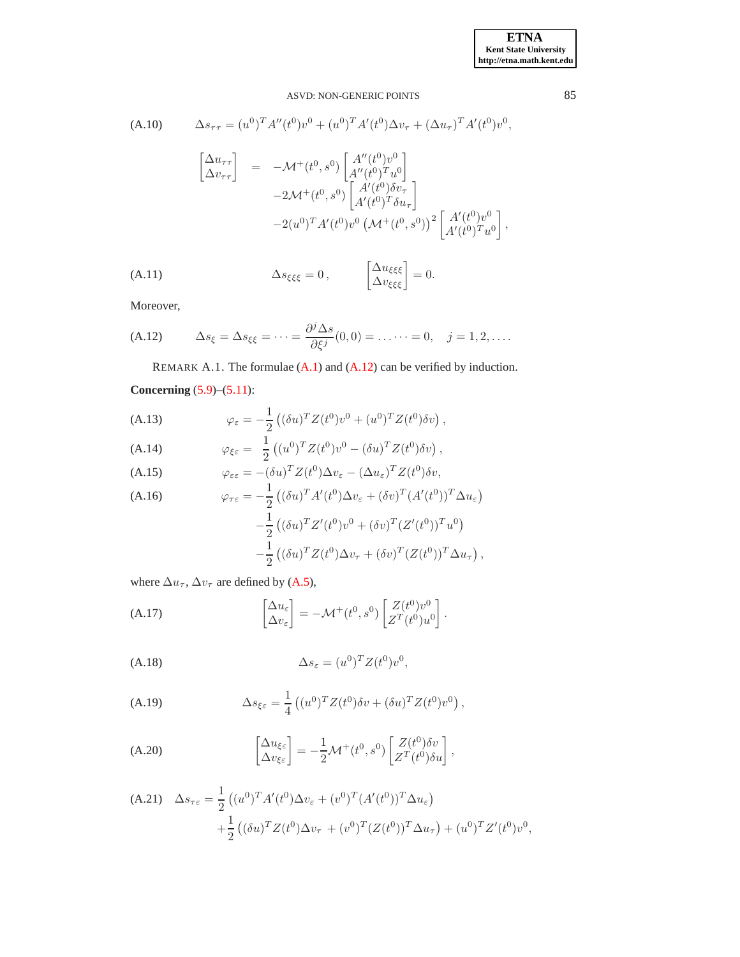(A.10) 
$$
\Delta s_{\tau\tau} = (u^0)^T A''(t^0) v^0 + (u^0)^T A'(t^0) \Delta v_{\tau} + (\Delta u_{\tau})^T A'(t^0) v^0,
$$

$$
\begin{bmatrix} \Delta u_{\tau\tau} \\ \Delta v_{\tau\tau} \end{bmatrix} = -\mathcal{M}^+(t^0, s^0) \begin{bmatrix} A''(t^0) v^0 \\ A''(t^0)^T u^0 \end{bmatrix}
$$

$$
-2\mathcal{M}^+(t^0, s^0) \begin{bmatrix} A'(t^0) \delta v_{\tau} \\ A'(t^0)^T \delta u_{\tau} \end{bmatrix}
$$

$$
-2(u^0)^T A'(t^0) v^0 \left( \mathcal{M}^+(t^0, s^0) \right)^2 \begin{bmatrix} A'(t^0) v^0 \\ A'(t^0)^T u^0 \end{bmatrix},
$$

(A.11) 
$$
\Delta s_{\xi\xi\xi} = 0, \qquad \left[\begin{matrix} \Delta u_{\xi\xi\xi} \\ \Delta v_{\xi\xi\xi} \end{matrix}\right] = 0.
$$

Moreover,

(A.12) 
$$
\Delta s_{\xi} = \Delta s_{\xi\xi} = \cdots = \frac{\partial^j \Delta s}{\partial \xi^j}(0,0) = \ldots \cdots = 0, \quad j = 1,2,\ldots.
$$

<span id="page-15-0"></span>REMARK A.1. The formulae [\(A.1\)](#page-14-0) and [\(A.12\)](#page-15-0) can be verified by induction.

# **Concerning** [\(5.9\)](#page-11-1)–[\(5.11\)](#page-11-2):

(A.13) 
$$
\varphi_{\varepsilon} = -\frac{1}{2} \left( (\delta u)^T Z(t^0) v^0 + (u^0)^T Z(t^0) \delta v \right),
$$

(A.14) 
$$
\varphi_{\xi\varepsilon} = \frac{1}{2} \left( (u^0)^T Z(t^0) v^0 - (\delta u)^T Z(t^0) \delta v \right),
$$

(A.15) 
$$
\varphi_{\varepsilon\varepsilon} = -(\delta u)^T Z(t^0) \Delta v_{\varepsilon} - (\Delta u_{\varepsilon})^T Z(t^0) \delta v,
$$
  
(A.16) 
$$
\frac{1}{\sqrt{(\varepsilon - T_A t/(0))} \Delta t} = \frac{(\varepsilon - T_A t/(0))}{\sqrt{(\varepsilon - T_A t/(0))} \Delta t}.
$$

(A.16)  
\n
$$
\varphi_{\tau\varepsilon} = -\frac{1}{2} \left( (\delta u)^T A'(t^0) \Delta v_{\varepsilon} + (\delta v)^T (A'(t^0))^T \Delta u_{\varepsilon} \right)
$$
\n
$$
-\frac{1}{2} \left( (\delta u)^T Z'(t^0) v^0 + (\delta v)^T (Z'(t^0))^T u^0 \right)
$$
\n
$$
-\frac{1}{2} \left( (\delta u)^T Z(t^0) \Delta v_{\tau} + (\delta v)^T (Z(t^0))^T \Delta u_{\tau} \right),
$$

where  $\Delta u_{\tau}$ ,  $\Delta v_{\tau}$  are defined by [\(A.5\)](#page-14-5),

(A.17) 
$$
\begin{bmatrix} \Delta u_{\varepsilon} \\ \Delta v_{\varepsilon} \end{bmatrix} = -\mathcal{M}^+(t^0, s^0) \begin{bmatrix} Z(t^0)v^0 \\ Z^T(t^0)u^0 \end{bmatrix}.
$$

$$
\Delta s_{\varepsilon} = (u^0)^T Z(t^0) v^0,
$$

(A.19) 
$$
\Delta s_{\xi\epsilon} = \frac{1}{4} \left( (u^0)^T Z(t^0) \delta v + (\delta u)^T Z(t^0) v^0 \right),
$$

(A.20) 
$$
\begin{bmatrix} \Delta u_{\xi\varepsilon} \\ \Delta v_{\xi\varepsilon} \end{bmatrix} = -\frac{1}{2} \mathcal{M}^+(t^0, s^0) \begin{bmatrix} Z(t^0) \delta v \\ Z^T(t^0) \delta u \end{bmatrix},
$$

(A.21) 
$$
\Delta s_{\tau \varepsilon} = \frac{1}{2} \left( (u^0)^T A'(t^0) \Delta v_{\varepsilon} + (v^0)^T (A'(t^0))^T \Delta u_{\varepsilon} \right) + \frac{1}{2} \left( (\delta u)^T Z(t^0) \Delta v_{\tau} + (v^0)^T (Z(t^0))^T \Delta u_{\tau} \right) + (u^0)^T Z'(t^0) v^0,
$$